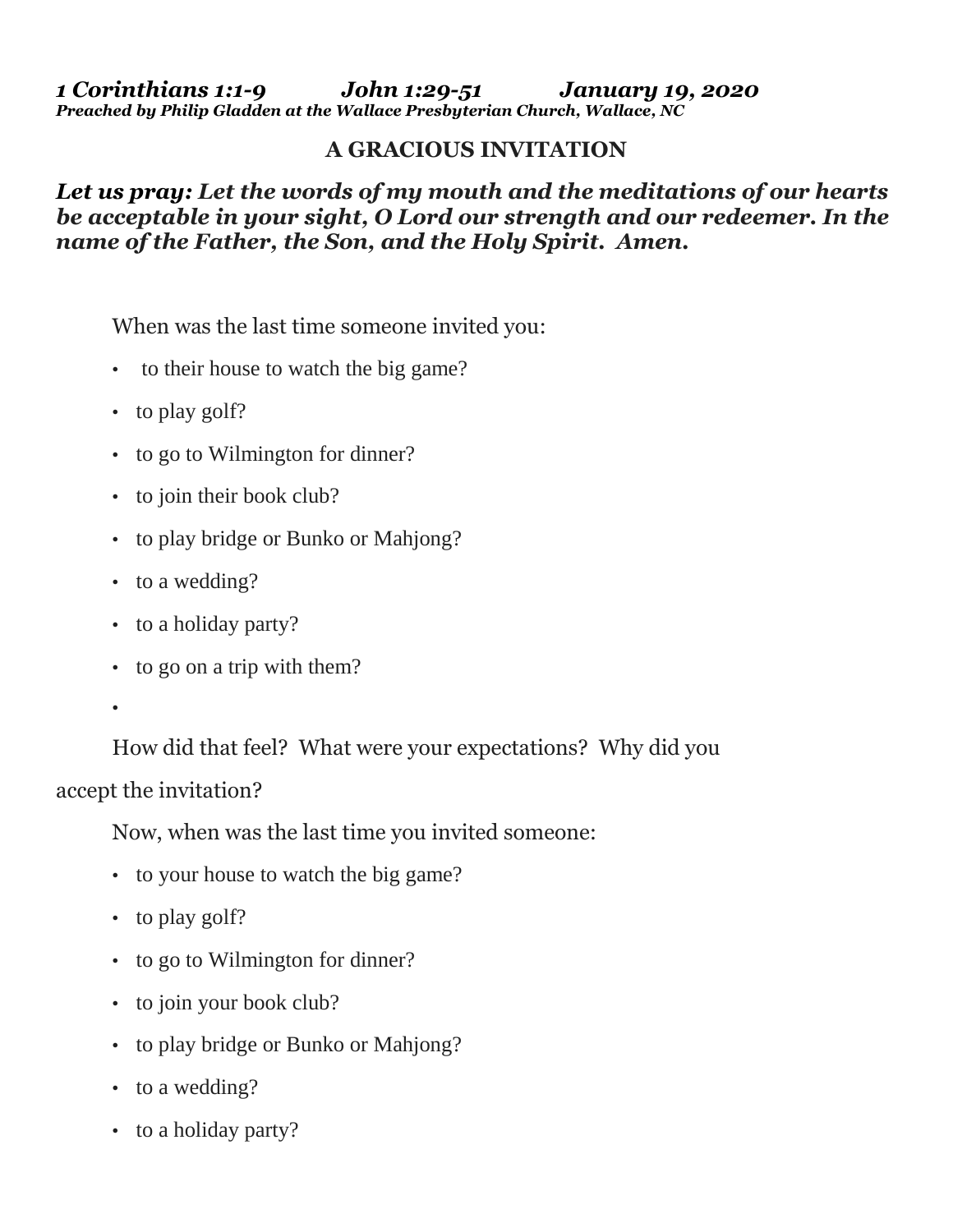*1 Corinthians 1:1-9 John 1:29-51 January 19, 2020 Preached by Philip Gladden at the Wallace Presbyterian Church, Wallace, NC*

## **A GRACIOUS INVITATION**

*Let us pray: Let the words of my mouth and the meditations of our hearts be acceptable in your sight, O Lord our strength and our redeemer. In the name of the Father, the Son, and the Holy Spirit. Amen.*

When was the last time someone invited you:

- to their house to watch the big game?
- to play golf?
- to go to Wilmington for dinner?
- to join their book club?
- to play bridge or Bunko or Mahjong?
- to a wedding?
- to a holiday party?
- to go on a trip with them?
- •

How did that feel? What were your expectations? Why did you accept the invitation?

Now, when was the last time you invited someone:

- to your house to watch the big game?
- to play golf?
- to go to Wilmington for dinner?
- to join your book club?
- to play bridge or Bunko or Mahjong?
- to a wedding?
- to a holiday party?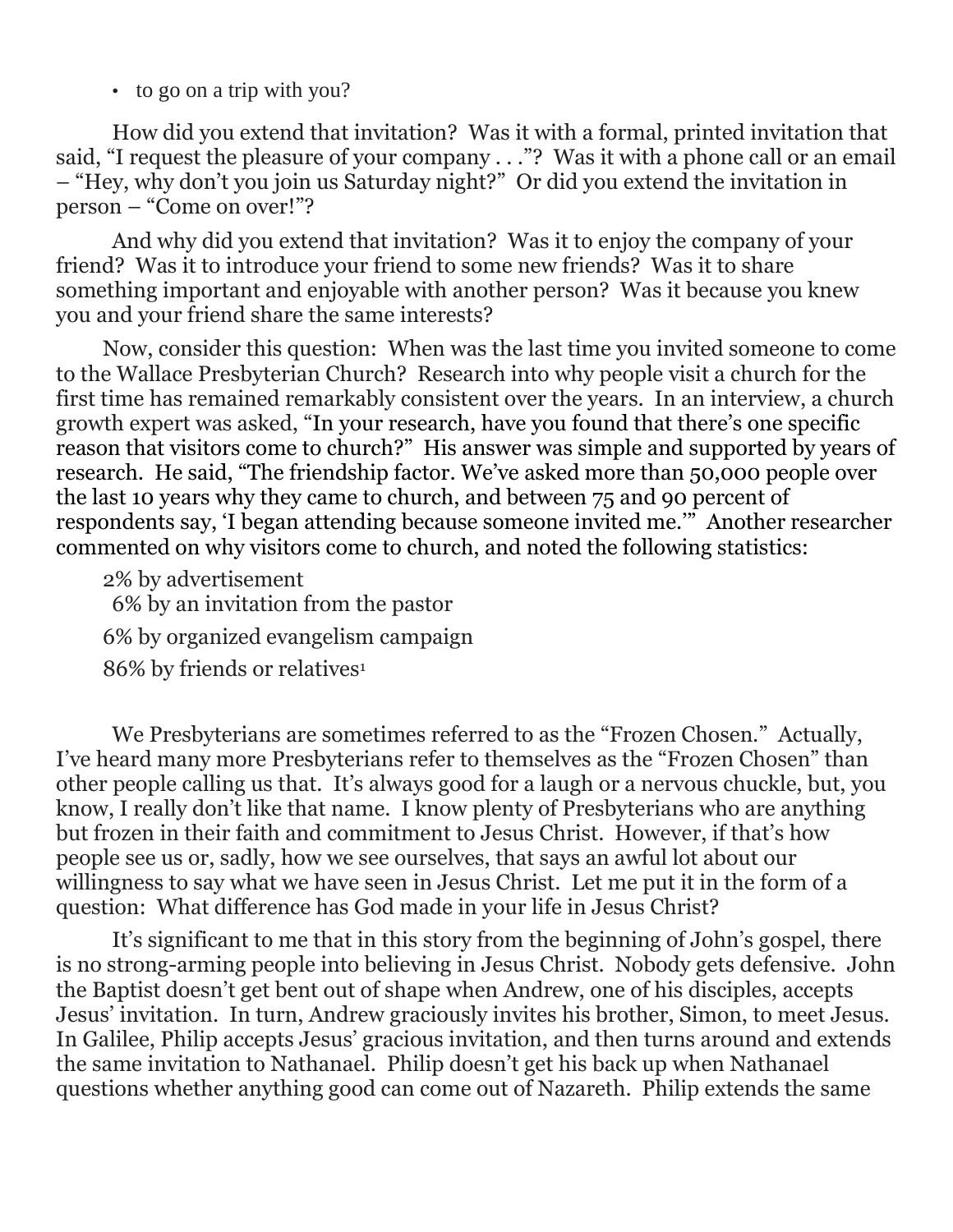• to go on a trip with you?

How did you extend that invitation? Was it with a formal, printed invitation that said, "I request the pleasure of your company . . ."? Was it with a phone call or an email – "Hey, why don't you join us Saturday night?" Or did you extend the invitation in person – "Come on over!"?

And why did you extend that invitation? Was it to enjoy the company of your friend? Was it to introduce your friend to some new friends? Was it to share something important and enjoyable with another person? Was it because you knew you and your friend share the same interests?

Now, consider this question: When was the last time you invited someone to come to the Wallace Presbyterian Church? Research into why people visit a church for the first time has remained remarkably consistent over the years. In an interview, a church growth expert was asked, "In your research, have you found that there's one specific reason that visitors come to church?" His answer was simple and supported by years of research. He said, "The friendship factor. We've asked more than 50,000 people over the last 10 years why they came to church, and between 75 and 90 percent of respondents say, 'I began attending because someone invited me.'" Another researcher commented on why visitors come to church, and noted the following statistics:

2% by advertisement 6% by an invitation from the pastor 6% by organized evangelism campaign 86% by friends or relatives<sup>1</sup>

We Presbyterians are sometimes referred to as the "Frozen Chosen." Actually, I've heard many more Presbyterians refer to themselves as the "Frozen Chosen" than other people calling us that. It's always good for a laugh or a nervous chuckle, but, you know, I really don't like that name. I know plenty of Presbyterians who are anything but frozen in their faith and commitment to Jesus Christ. However, if that's how people see us or, sadly, how we see ourselves, that says an awful lot about our willingness to say what we have seen in Jesus Christ. Let me put it in the form of a question: What difference has God made in your life in Jesus Christ?

It's significant to me that in this story from the beginning of John's gospel, there is no strong-arming people into believing in Jesus Christ. Nobody gets defensive. John the Baptist doesn't get bent out of shape when Andrew, one of his disciples, accepts Jesus' invitation. In turn, Andrew graciously invites his brother, Simon, to meet Jesus. In Galilee, Philip accepts Jesus' gracious invitation, and then turns around and extends the same invitation to Nathanael. Philip doesn't get his back up when Nathanael questions whether anything good can come out of Nazareth. Philip extends the same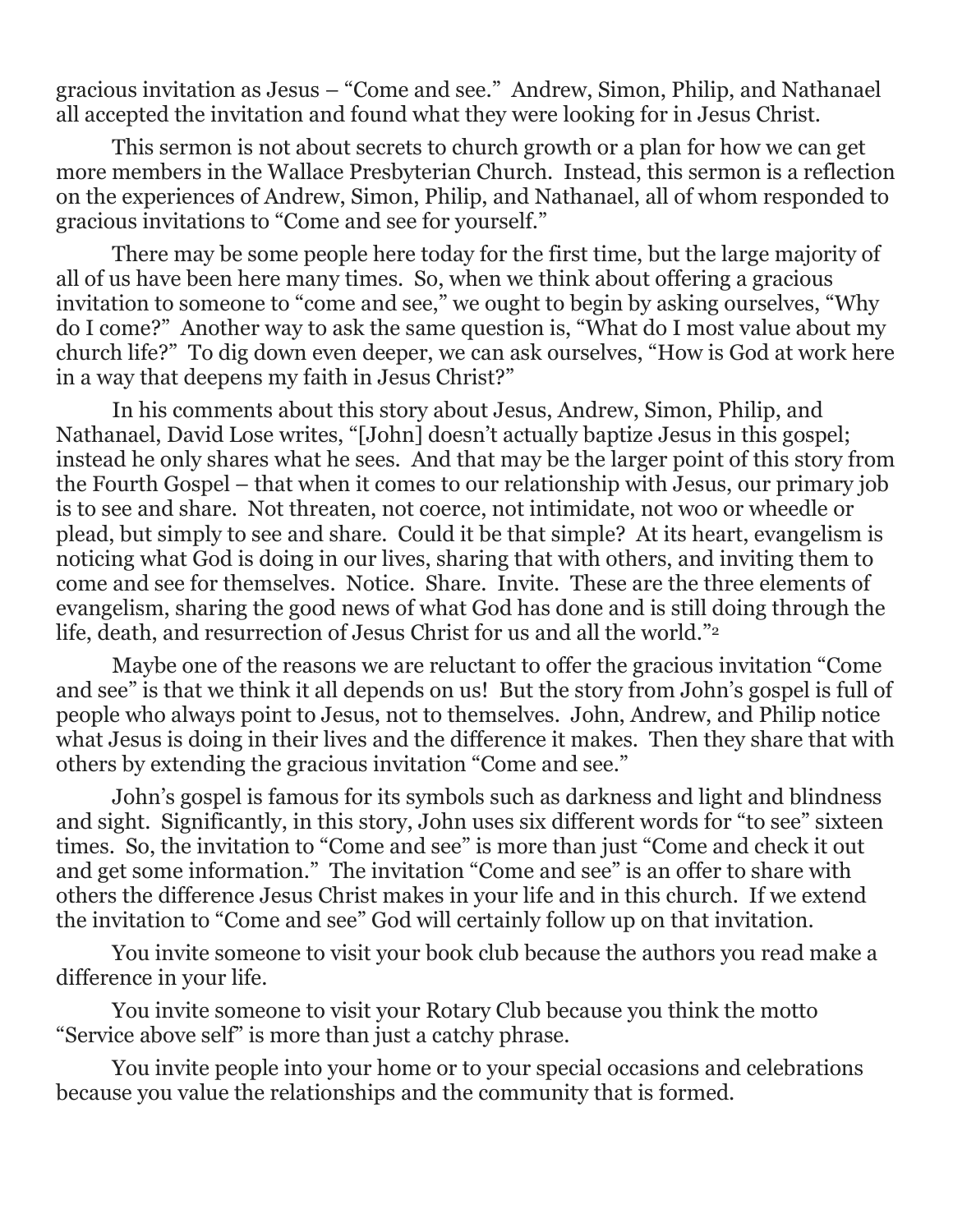gracious invitation as Jesus – "Come and see." Andrew, Simon, Philip, and Nathanael all accepted the invitation and found what they were looking for in Jesus Christ.

This sermon is not about secrets to church growth or a plan for how we can get more members in the Wallace Presbyterian Church. Instead, this sermon is a reflection on the experiences of Andrew, Simon, Philip, and Nathanael, all of whom responded to gracious invitations to "Come and see for yourself."

There may be some people here today for the first time, but the large majority of all of us have been here many times. So, when we think about offering a gracious invitation to someone to "come and see," we ought to begin by asking ourselves, "Why do I come?" Another way to ask the same question is, "What do I most value about my church life?" To dig down even deeper, we can ask ourselves, "How is God at work here in a way that deepens my faith in Jesus Christ?"

In his comments about this story about Jesus, Andrew, Simon, Philip, and Nathanael, David Lose writes, "[John] doesn't actually baptize Jesus in this gospel; instead he only shares what he sees. And that may be the larger point of this story from the Fourth Gospel – that when it comes to our relationship with Jesus, our primary job is to see and share. Not threaten, not coerce, not intimidate, not woo or wheedle or plead, but simply to see and share. Could it be that simple? At its heart, evangelism is noticing what God is doing in our lives, sharing that with others, and inviting them to come and see for themselves. Notice. Share. Invite. These are the three elements of evangelism, sharing the good news of what God has done and is still doing through the life, death, and resurrection of Jesus Christ for us and all the world."<sup>2</sup>

Maybe one of the reasons we are reluctant to offer the gracious invitation "Come and see" is that we think it all depends on us! But the story from John's gospel is full of people who always point to Jesus, not to themselves. John, Andrew, and Philip notice what Jesus is doing in their lives and the difference it makes. Then they share that with others by extending the gracious invitation "Come and see."

John's gospel is famous for its symbols such as darkness and light and blindness and sight. Significantly, in this story, John uses six different words for "to see" sixteen times. So, the invitation to "Come and see" is more than just "Come and check it out and get some information." The invitation "Come and see" is an offer to share with others the difference Jesus Christ makes in your life and in this church. If we extend the invitation to "Come and see" God will certainly follow up on that invitation.

You invite someone to visit your book club because the authors you read make a difference in your life.

You invite someone to visit your Rotary Club because you think the motto "Service above self" is more than just a catchy phrase.

You invite people into your home or to your special occasions and celebrations because you value the relationships and the community that is formed.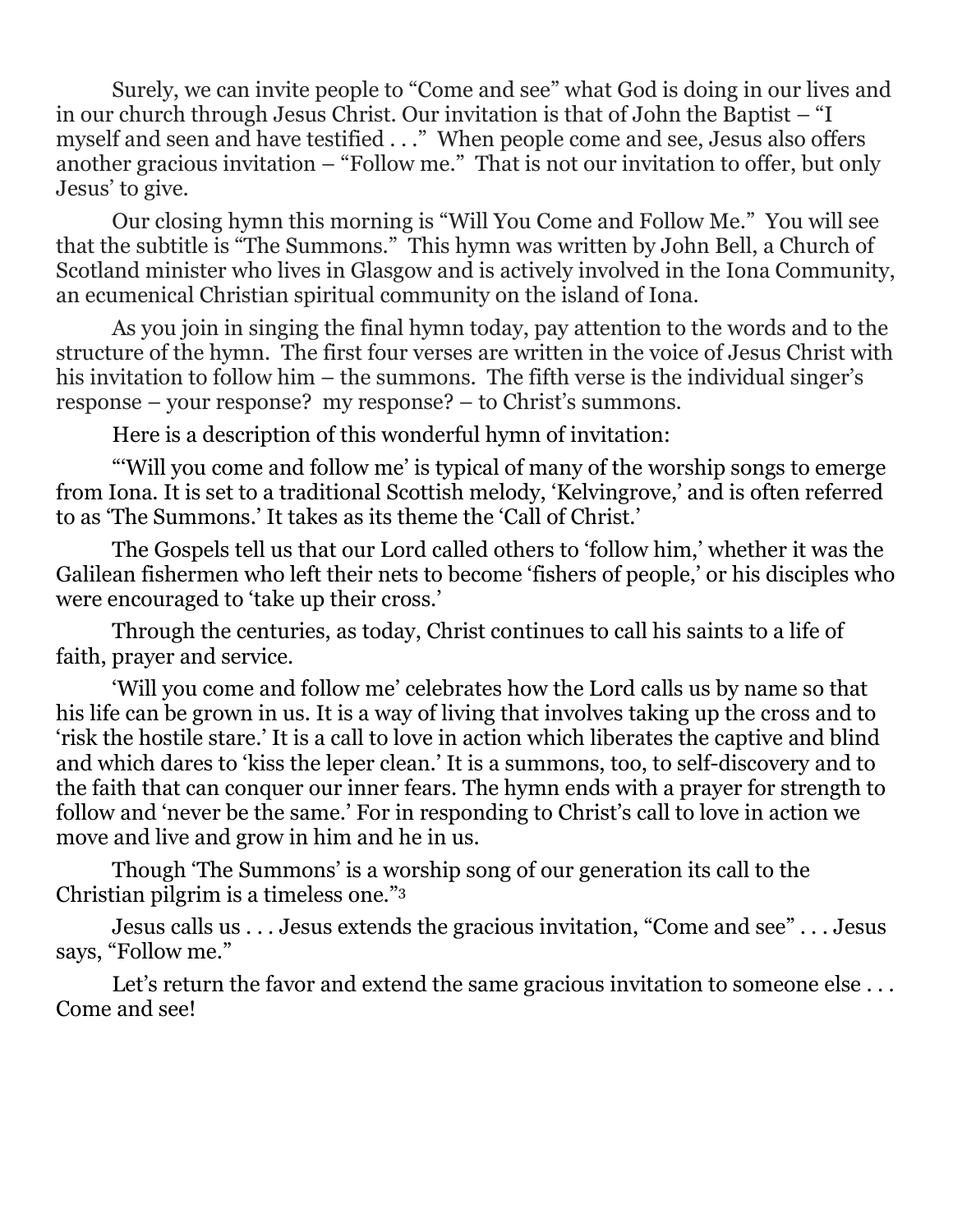Surely, we can invite people to "Come and see" what God is doing in our lives and in our church through Jesus Christ. Our invitation is that of John the Baptist – "I myself and seen and have testified . . ." When people come and see, Jesus also offers another gracious invitation – "Follow me." That is not our invitation to offer, but only Jesus' to give.

Our closing hymn this morning is "Will You Come and Follow Me." You will see that the subtitle is "The Summons." This hymn was written by John Bell, a Church of Scotland minister who lives in Glasgow and is actively involved in the Iona Community, an ecumenical Christian spiritual community on the island of Iona.

As you join in singing the final hymn today, pay attention to the words and to the structure of the hymn. The first four verses are written in the voice of Jesus Christ with his invitation to follow him – the summons. The fifth verse is the individual singer's response – your response? my response? – to Christ's summons.

Here is a description of this wonderful hymn of invitation:

"'Will you come and follow me' is typical of many of the worship songs to emerge from Iona. It is set to a traditional Scottish melody, 'Kelvingrove,' and is often referred to as 'The Summons.' It takes as its theme the 'Call of Christ.'

The Gospels tell us that our Lord called others to 'follow him,' whether it was the Galilean fishermen who left their nets to become 'fishers of people,' or his disciples who were encouraged to 'take up their cross.'

Through the centuries, as today, Christ continues to call his saints to a life of faith, prayer and service.

'Will you come and follow me' celebrates how the Lord calls us by name so that his life can be grown in us. It is a way of living that involves taking up the cross and to 'risk the hostile stare.' It is a call to love in action which liberates the captive and blind and which dares to 'kiss the leper clean.' It is a summons, too, to self-discovery and to the faith that can conquer our inner fears. The hymn ends with a prayer for strength to follow and 'never be the same.' For in responding to Christ's call to love in action we move and live and grow in him and he in us.

Though 'The Summons' is a worship song of our generation its call to the Christian pilgrim is a timeless one."<sup>3</sup>

Jesus calls us . . . Jesus extends the gracious invitation, "Come and see" . . . Jesus says, "Follow me."

Let's return the favor and extend the same gracious invitation to someone else ... Come and see!